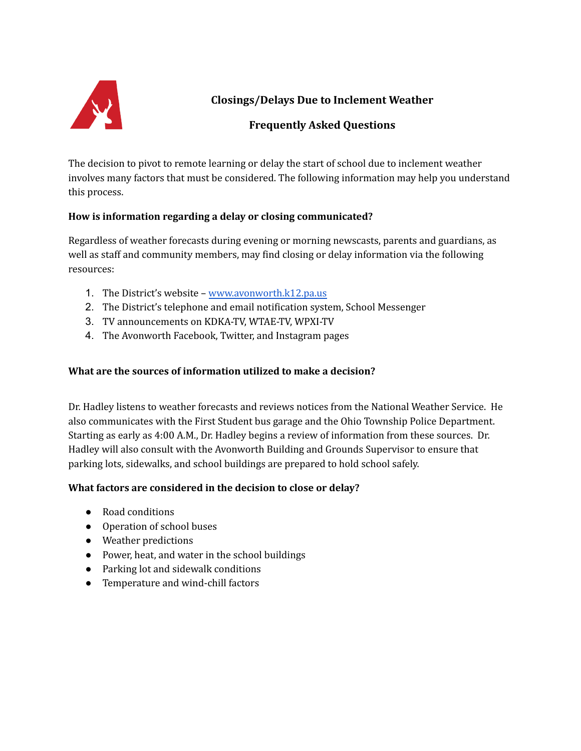

**Closings/Delays Due to Inclement Weather**

# **Frequently Asked Questions**

The decision to pivot to remote learning or delay the start of school due to inclement weather involves many factors that must be considered. The following information may help you understand this process.

## **How is information regarding a delay or closing communicated?**

Regardless of weather forecasts during evening or morning newscasts, parents and guardians, as well as staff and community members, may find closing or delay information via the following resources:

- 1. The District's website [www.avonworth.k12.pa.us](http://www.avonworth.k12.pa.us/)
- 2. The District's telephone and email notification system, School Messenger
- 3. TV announcements on KDKA-TV, WTAE-TV, WPXI-TV
- 4. The Avonworth Facebook, Twitter, and Instagram pages

## **What are the sources of information utilized to make a decision?**

Dr. Hadley listens to weather forecasts and reviews notices from the National Weather Service. He also communicates with the First Student bus garage and the Ohio Township Police Department. Starting as early as 4:00 A.M., Dr. Hadley begins a review of information from these sources. Dr. Hadley will also consult with the Avonworth Building and Grounds Supervisor to ensure that parking lots, sidewalks, and school buildings are prepared to hold school safely.

## **What factors are considered in the decision to close or delay?**

- Road conditions
- Operation of school buses
- Weather predictions
- Power, heat, and water in the school buildings
- Parking lot and sidewalk conditions
- Temperature and wind-chill factors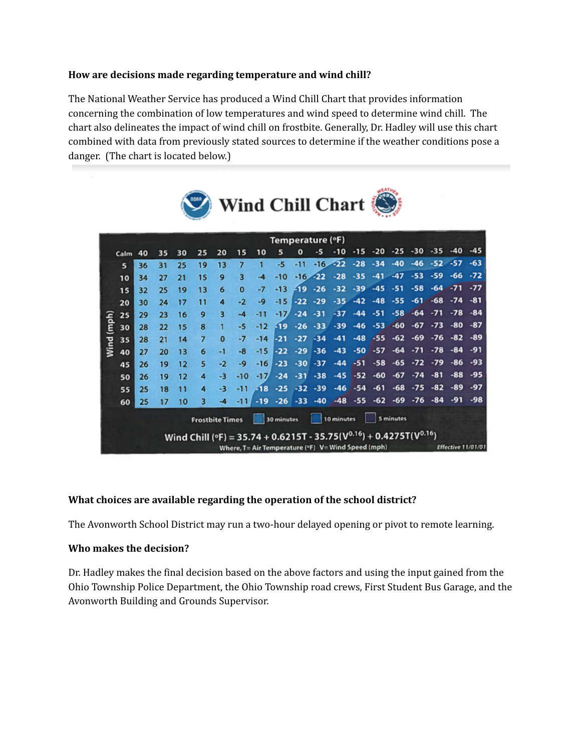### **How are decisions made regarding temperature and wind chill?**

The National Weather Service has produced a Wind Chill Chart that provides information concerning the combination of low temperatures and wind speed to determine wind chill. The chart also delineates the impact of wind chill on frostbite. Generally, Dr. Hadley will use this chart combined with data from previously stated sources to determine if the weather conditions pose a danger. (The chart is located below.)



| Temperature (°F)                                                |      |    |    |                   |    |          |          |                                                                                                 |        |       |            |       |       |       |       |       |                           |       |       |  |
|-----------------------------------------------------------------|------|----|----|-------------------|----|----------|----------|-------------------------------------------------------------------------------------------------|--------|-------|------------|-------|-------|-------|-------|-------|---------------------------|-------|-------|--|
|                                                                 | Calm | 40 | 35 | 30                | 25 | 20       | 15       | 10                                                                                              | 5      | o     | -5         | $-10$ | $-15$ | $-20$ | $-25$ | $-30$ | $-35$                     | $-40$ | $-45$ |  |
| (mph)<br>Wind                                                   | 5    | 36 | 31 | 25                | 19 | 13       | 7        | п                                                                                               | -5     | $-11$ | $-16$      | $-22$ | $-28$ | $-34$ | $-40$ | $-46$ | $-52$                     | $-57$ | $-63$ |  |
|                                                                 | 10   | 34 | 27 | 21                | 15 | 9        | 3        | $-4$                                                                                            | $-10$  |       | $-16 - 22$ | $-28$ | $-35$ | $-41$ | $-47$ | $-53$ | -59                       | -66   | $-72$ |  |
|                                                                 | 15   | 32 | 25 | 19                | 13 | 6        | $\Omega$ | $-7$                                                                                            | $-13$  | F19   | $-26$      | $-32$ | $-39$ | $-45$ | $-51$ | $-58$ | $-64$                     | $-71$ | $-77$ |  |
|                                                                 | 20   | 30 | 24 | 17                | 11 | 4        | $-2$     | -9                                                                                              | $-15$  | $-22$ | $-29$      | $-35$ | $-42$ | $-48$ | $-55$ | $-61$ | $-68$                     | $-74$ | $-81$ |  |
|                                                                 | 25   | 29 | 23 | 16                | 9  | 3        | $-4$     | $-11$                                                                                           | $-17'$ | $-24$ | $-31$      | $-37$ | $-44$ | $-51$ | $-58$ | $-64$ | $-71$                     | $-78$ | $-84$ |  |
|                                                                 | 30   | 28 | 22 | 15                | 8  |          | -5       | -12                                                                                             | $-19$  | $-26$ | $-33$      | $-39$ | $-46$ | $-53$ | $-60$ | $-67$ | $-73$                     | $-80$ | $-87$ |  |
|                                                                 | 35   | 28 | 21 | 14                | 7  | $\bf{0}$ | -7       | $-14$                                                                                           | $-21$  | $-27$ | $-34$      | $-41$ | $-48$ | $-55$ | $-62$ | $-69$ | $-76$                     | $-82$ | $-89$ |  |
|                                                                 | 40   | 27 | 20 | 13                | 6  | $-1$     | $-8$     | $-15$                                                                                           | $-22$  | $-29$ | $-36$      | $-43$ | $-50$ | $-57$ | $-64$ | $-71$ | $-78$                     | $-84$ | -91   |  |
|                                                                 | 45   | 26 | 19 | $12 \overline{ }$ | 5  | $-2$     | -9       | $-16$                                                                                           | $-23$  | $-30$ | $-37$      | $-44$ | -51   | $-58$ | $-65$ | $-72$ | $-79$                     | $-86$ | $-93$ |  |
|                                                                 | 50   | 26 | 19 | 12                | 4  | $-3$     | $-10$    | -17                                                                                             | $-24$  | $-31$ | $-38$      | $-45$ | $-52$ | -60   | $-67$ | $-74$ | -81                       | -88   | -95   |  |
|                                                                 | 55   | 25 | 18 | 11                | 4  | -3       | -11      | $-18$                                                                                           | $-25$  | $-32$ | $-39$      | $-46$ | $-54$ | $-61$ | -68   | $-75$ | -82                       | -89   | $-97$ |  |
|                                                                 | 60   | 25 | 17 | 10                | з  | $-4$     | $-11$    | $-19$                                                                                           | $-26$  | $-33$ | $-40$      | $-48$ | $-55$ | $-62$ | $-69$ | $-76$ | $-84$                     | -91   | -98   |  |
| 10 minutes<br>5 minutes<br>30 minutes<br><b>Frostbite Times</b> |      |    |    |                   |    |          |          |                                                                                                 |        |       |            |       |       |       |       |       |                           |       |       |  |
|                                                                 |      |    |    |                   |    |          |          | Wind Chill (°F) = 35.74 + 0.6215T - 35.75( $\mathsf{V}^{0.16})$ + 0.4275T( $\mathsf{V}^{0.16})$ |        |       |            |       |       |       |       |       |                           |       |       |  |
|                                                                 |      |    |    |                   |    |          |          | Where, T= Air Temperature (°F) V= Wind Speed (mph)                                              |        |       |            |       |       |       |       |       | <b>Effective 11/01/01</b> |       |       |  |

### **What choices are available regarding the operation of the school district?**

The Avonworth School District may run a two-hour delayed opening or pivot to remote learning.

#### **Who makes the decision?**

Dr. Hadley makes the final decision based on the above factors and using the input gained from the Ohio Township Police Department, the Ohio Township road crews, First Student Bus Garage, and the Avonworth Building and Grounds Supervisor.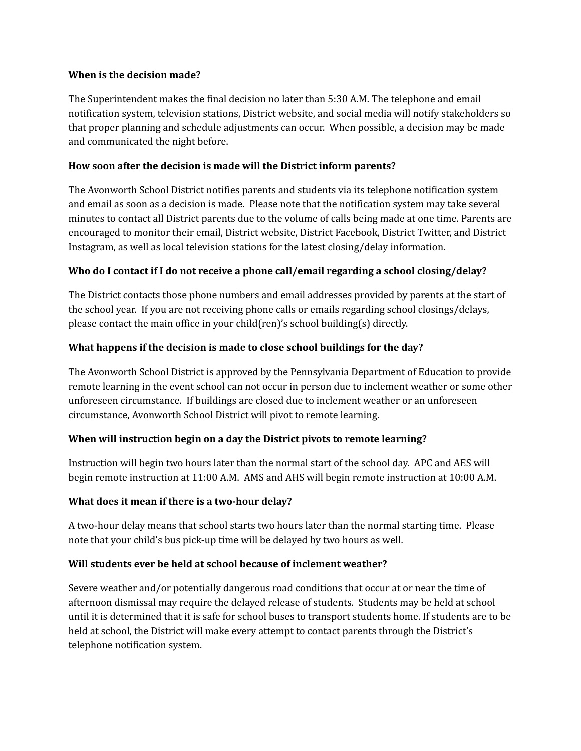#### **When is the decision made?**

The Superintendent makes the final decision no later than 5:30 A.M. The telephone and email notification system, television stations, District website, and social media will notify stakeholders so that proper planning and schedule adjustments can occur. When possible, a decision may be made and communicated the night before.

#### **How soon after the decision is made will the District inform parents?**

The Avonworth School District notifies parents and students via its telephone notification system and email as soon as a decision is made. Please note that the notification system may take several minutes to contact all District parents due to the volume of calls being made at one time. Parents are encouraged to monitor their email, District website, District Facebook, District Twitter, and District Instagram, as well as local television stations for the latest closing/delay information.

### **Who do I contact if I do not receive a phone call/email regarding a school closing/delay?**

The District contacts those phone numbers and email addresses provided by parents at the start of the school year. If you are not receiving phone calls or emails regarding school closings/delays, please contact the main office in your child(ren)'s school building(s) directly.

### **What happens if the decision is made to close school buildings for the day?**

The Avonworth School District is approved by the Pennsylvania Department of Education to provide remote learning in the event school can not occur in person due to inclement weather or some other unforeseen circumstance. If buildings are closed due to inclement weather or an unforeseen circumstance, Avonworth School District will pivot to remote learning.

### **When will instruction begin on a day the District pivots to remote learning?**

Instruction will begin two hours later than the normal start of the school day. APC and AES will begin remote instruction at 11:00 A.M. AMS and AHS will begin remote instruction at 10:00 A.M.

### **What does it mean if there is a two-hour delay?**

A two-hour delay means that school starts two hours later than the normal starting time. Please note that your child's bus pick-up time will be delayed by two hours as well.

### **Will students ever be held at school because of inclement weather?**

Severe weather and/or potentially dangerous road conditions that occur at or near the time of afternoon dismissal may require the delayed release of students. Students may be held at school until it is determined that it is safe for school buses to transport students home. If students are to be held at school, the District will make every attempt to contact parents through the District's telephone notification system.